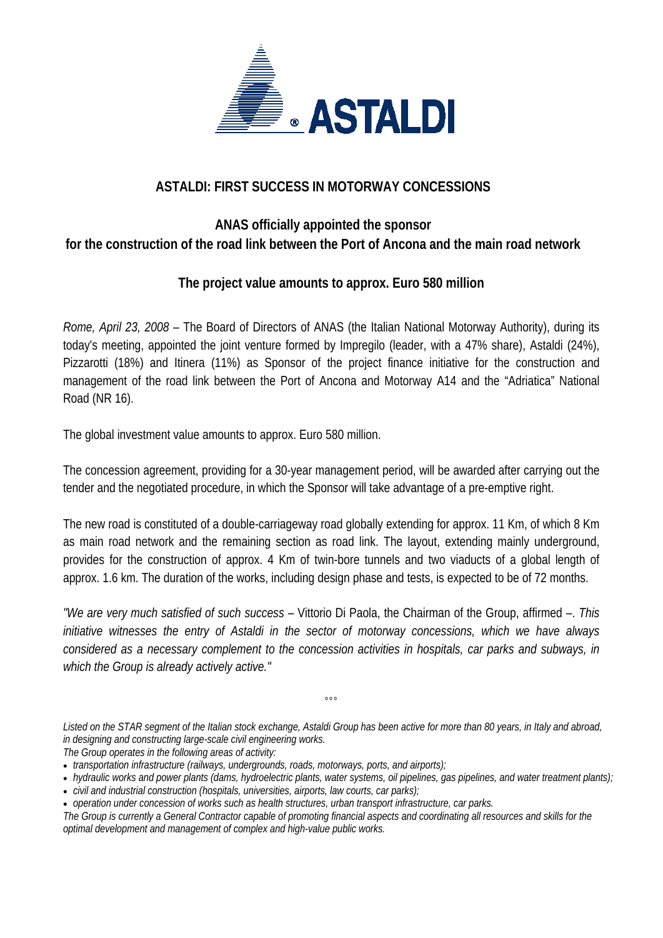

# **ASTALDI: FIRST SUCCESS IN MOTORWAY CONCESSIONS**

# **ANAS officially appointed the sponsor for the construction of the road link between the Port of Ancona and the main road network**

## **The project value amounts to approx. Euro 580 million**

*Rome, April 23, 2008* – The Board of Directors of ANAS (the Italian National Motorway Authority), during its today's meeting, appointed the joint venture formed by Impregilo (leader, with a 47% share), Astaldi (24%), Pizzarotti (18%) and Itinera (11%) as Sponsor of the project finance initiative for the construction and management of the road link between the Port of Ancona and Motorway A14 and the "Adriatica" National Road (NR 16).

The global investment value amounts to approx. Euro 580 million.

The concession agreement, providing for a 30-year management period, will be awarded after carrying out the tender and the negotiated procedure, in which the Sponsor will take advantage of a pre-emptive right.

The new road is constituted of a double-carriageway road globally extending for approx. 11 Km, of which 8 Km as main road network and the remaining section as road link. The layout, extending mainly underground, provides for the construction of approx. 4 Km of twin-bore tunnels and two viaducts of a global length of approx. 1.6 km. The duration of the works, including design phase and tests, is expected to be of 72 months.

*"We are very much satisfied of such success* – Vittorio Di Paola, the Chairman of the Group, affirmed –. *This initiative witnesses the entry of Astaldi in the sector of motorway concessions, which we have always considered as a necessary complement to the concession activities in hospitals, car parks and subways, in which the Group is already actively active."*

*Listed on the STAR segment of the Italian stock exchange, Astaldi Group has been active for more than 80 years, in Italy and abroad, in designing and constructing large-scale civil engineering works. The Group operates in the following areas of activity:* 

 $^{\circ}$ °

• *transportation infrastructure (railways, undergrounds, roads, motorways, ports, and airports);* 

- *hydraulic works and power plants (dams, hydroelectric plants, water systems, oil pipelines, gas pipelines, and water treatment plants);*
- *civil and industrial construction (hospitals, universities, airports, law courts, car parks);*
- *operation under concession of works such as health structures, urban transport infrastructure, car parks.*

*The Group is currently a General Contractor capable of promoting financial aspects and coordinating all resources and skills for the optimal development and management of complex and high-value public works.*